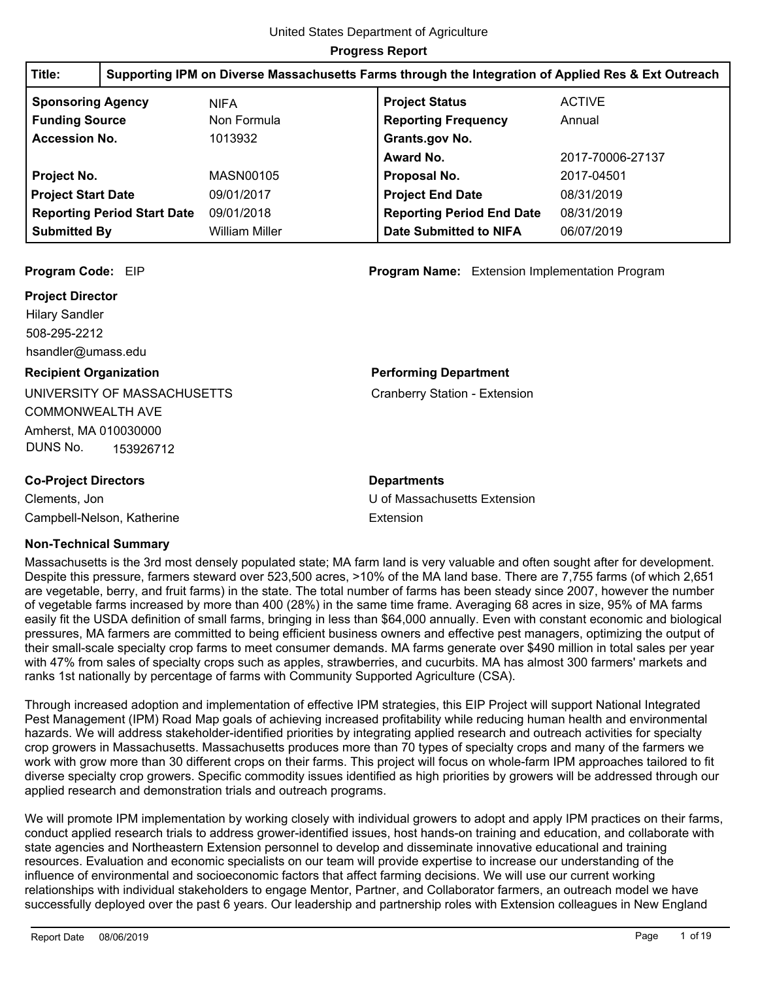| Title:                                  | Supporting IPM on Diverse Massachusetts Farms through the Integration of Applied Res & Ext Outreach |                       |                                  |                  |
|-----------------------------------------|-----------------------------------------------------------------------------------------------------|-----------------------|----------------------------------|------------------|
| <b>Sponsoring Agency</b><br><b>NIFA</b> |                                                                                                     |                       | <b>Project Status</b>            | <b>ACTIVE</b>    |
| <b>Funding Source</b>                   |                                                                                                     | Non Formula           | <b>Reporting Frequency</b>       | Annual           |
| <b>Accession No.</b>                    |                                                                                                     | 1013932               | Grants.gov No.                   |                  |
|                                         |                                                                                                     |                       | Award No.                        | 2017-70006-27137 |
| Project No.                             |                                                                                                     | MASN00105             | Proposal No.                     | 2017-04501       |
| <b>Project Start Date</b>               |                                                                                                     | 09/01/2017            | <b>Project End Date</b>          | 08/31/2019       |
|                                         | <b>Reporting Period Start Date</b>                                                                  | 09/01/2018            | <b>Reporting Period End Date</b> | 08/31/2019       |
| <b>Submitted By</b>                     |                                                                                                     | <b>William Miller</b> | <b>Date Submitted to NIFA</b>    | 06/07/2019       |

#### **Project Director**

508-295-2212 Hilary Sandler hsandler@umass.edu

# **Recipient Organization**

UNIVERSITY OF MASSACHUSETTS COMMONWEALTH AVE Amherst, MA 010030000 DUNS No. 153926712

# **Co-Project Directors**

Clements, Jon Campbell-Nelson, Katherine

# **Non-Technical Summary**

Massachusetts is the 3rd most densely populated state; MA farm land is very valuable and often sought after for development. Despite this pressure, farmers steward over 523,500 acres, >10% of the MA land base. There are 7,755 farms (of which 2,651 are vegetable, berry, and fruit farms) in the state. The total number of farms has been steady since 2007, however the number of vegetable farms increased by more than 400 (28%) in the same time frame. Averaging 68 acres in size, 95% of MA farms easily fit the USDA definition of small farms, bringing in less than \$64,000 annually. Even with constant economic and biological pressures, MA farmers are committed to being efficient business owners and effective pest managers, optimizing the output of their small-scale specialty crop farms to meet consumer demands. MA farms generate over \$490 million in total sales per year with 47% from sales of specialty crops such as apples, strawberries, and cucurbits. MA has almost 300 farmers' markets and ranks 1st nationally by percentage of farms with Community Supported Agriculture (CSA).

Extension

**Departments**

Through increased adoption and implementation of effective IPM strategies, this EIP Project will support National Integrated Pest Management (IPM) Road Map goals of achieving increased profitability while reducing human health and environmental hazards. We will address stakeholder-identified priorities by integrating applied research and outreach activities for specialty crop growers in Massachusetts. Massachusetts produces more than 70 types of specialty crops and many of the farmers we work with grow more than 30 different crops on their farms. This project will focus on whole-farm IPM approaches tailored to fit diverse specialty crop growers. Specific commodity issues identified as high priorities by growers will be addressed through our applied research and demonstration trials and outreach programs.

We will promote IPM implementation by working closely with individual growers to adopt and apply IPM practices on their farms, conduct applied research trials to address grower-identified issues, host hands-on training and education, and collaborate with state agencies and Northeastern Extension personnel to develop and disseminate innovative educational and training resources. Evaluation and economic specialists on our team will provide expertise to increase our understanding of the influence of environmental and socioeconomic factors that affect farming decisions. We will use our current working relationships with individual stakeholders to engage Mentor, Partner, and Collaborator farmers, an outreach model we have successfully deployed over the past 6 years. Our leadership and partnership roles with Extension colleagues in New England

**Program Code:** EIP **Program Name:** Extension Implementation Program

#### **Performing Department**

Cranberry Station - Extension

U of Massachusetts Extension

#### Report Date 08/06/2019 Page 1 of 19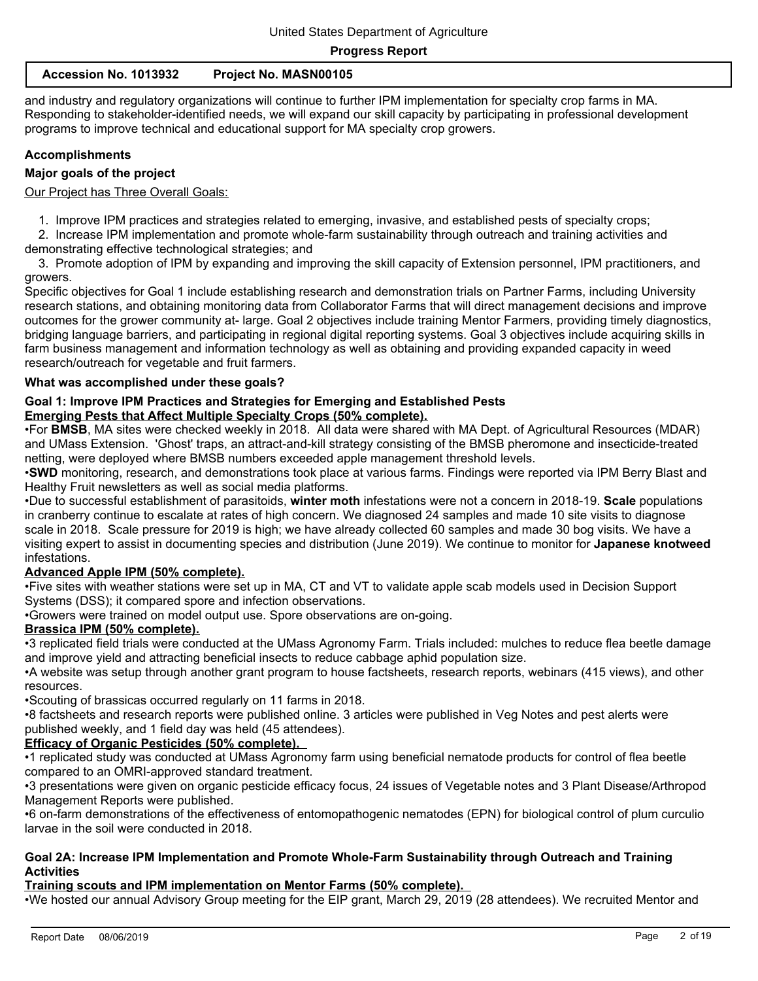| Accession No. 1013932 | <b>Project No. MASN00105</b> |
|-----------------------|------------------------------|
|-----------------------|------------------------------|

and industry and regulatory organizations will continue to further IPM implementation for specialty crop farms in MA. Responding to stakeholder-identified needs, we will expand our skill capacity by participating in professional development programs to improve technical and educational support for MA specialty crop growers.

# **Accomplishments**

## **Major goals of the project**

Our Project has Three Overall Goals:

1. Improve IPM practices and strategies related to emerging, invasive, and established pests of specialty crops;

 2. Increase IPM implementation and promote whole-farm sustainability through outreach and training activities and demonstrating effective technological strategies; and

 3. Promote adoption of IPM by expanding and improving the skill capacity of Extension personnel, IPM practitioners, and growers.

Specific objectives for Goal 1 include establishing research and demonstration trials on Partner Farms, including University research stations, and obtaining monitoring data from Collaborator Farms that will direct management decisions and improve outcomes for the grower community at- large. Goal 2 objectives include training Mentor Farmers, providing timely diagnostics, bridging language barriers, and participating in regional digital reporting systems. Goal 3 objectives include acquiring skills in farm business management and information technology as well as obtaining and providing expanded capacity in weed research/outreach for vegetable and fruit farmers.

## **What was accomplished under these goals?**

# **Goal 1: Improve IPM Practices and Strategies for Emerging and Established Pests Emerging Pests that Affect Multiple Specialty Crops (50% complete).**

•For **BMSB**, MA sites were checked weekly in 2018. All data were shared with MA Dept. of Agricultural Resources (MDAR) and UMass Extension. 'Ghost' traps, an attract-and-kill strategy consisting of the BMSB pheromone and insecticide-treated netting, were deployed where BMSB numbers exceeded apple management threshold levels.

•**SWD** monitoring, research, and demonstrations took place at various farms. Findings were reported via IPM Berry Blast and Healthy Fruit newsletters as well as social media platforms.

•Due to successful establishment of parasitoids, **winter moth** infestations were not a concern in 2018-19. **Scale** populations in cranberry continue to escalate at rates of high concern. We diagnosed 24 samples and made 10 site visits to diagnose scale in 2018. Scale pressure for 2019 is high; we have already collected 60 samples and made 30 bog visits. We have a visiting expert to assist in documenting species and distribution (June 2019). We continue to monitor for **Japanese knotweed** infestations.

# **Advanced Apple IPM (50% complete).**

•Five sites with weather stations were set up in MA, CT and VT to validate apple scab models used in Decision Support Systems (DSS); it compared spore and infection observations.

•Growers were trained on model output use. Spore observations are on-going.

## **Brassica IPM (50% complete).**

•3 replicated field trials were conducted at the UMass Agronomy Farm. Trials included: mulches to reduce flea beetle damage and improve yield and attracting beneficial insects to reduce cabbage aphid population size.

•A website was setup through another grant program to house factsheets, research reports, webinars (415 views), and other resources.

•Scouting of brassicas occurred regularly on 11 farms in 2018.

•8 factsheets and research reports were published online. 3 articles were published in Veg Notes and pest alerts were published weekly, and 1 field day was held (45 attendees).

#### **Efficacy of Organic Pesticides (50% complete).**

•1 replicated study was conducted at UMass Agronomy farm using beneficial nematode products for control of flea beetle compared to an OMRI-approved standard treatment.

•3 presentations were given on organic pesticide efficacy focus, 24 issues of Vegetable notes and 3 Plant Disease/Arthropod Management Reports were published.

•6 on-farm demonstrations of the effectiveness of entomopathogenic nematodes (EPN) for biological control of plum curculio larvae in the soil were conducted in 2018.

#### **Goal 2A: Increase IPM Implementation and Promote Whole-Farm Sustainability through Outreach and Training Activities**

# **Training scouts and IPM implementation on Mentor Farms (50% complete).**

•We hosted our annual Advisory Group meeting for the EIP grant, March 29, 2019 (28 attendees). We recruited Mentor and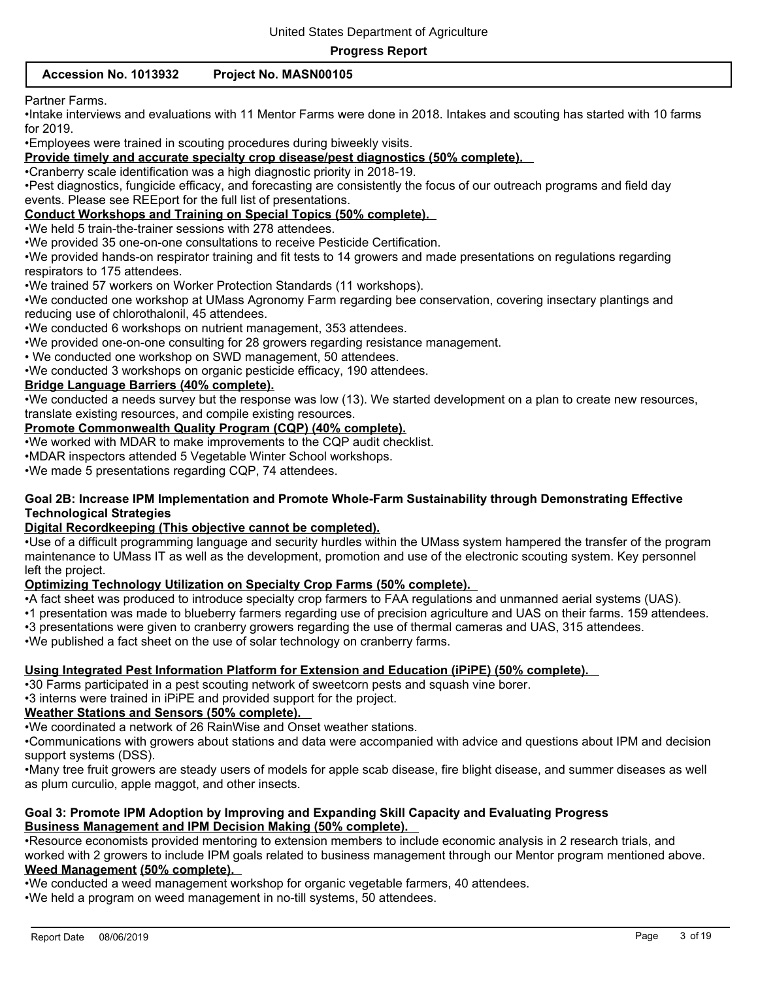# **Accession No. 1013932 Project No. MASN00105**

#### Partner Farms.

•Intake interviews and evaluations with 11 Mentor Farms were done in 2018. Intakes and scouting has started with 10 farms for 2019.

•Employees were trained in scouting procedures during biweekly visits.

**Provide timely and accurate specialty crop disease/pest diagnostics (50% complete).** 

•Cranberry scale identification was a high diagnostic priority in 2018-19.

•Pest diagnostics, fungicide efficacy, and forecasting are consistently the focus of our outreach programs and field day events. Please see REEport for the full list of presentations.

#### **Conduct Workshops and Training on Special Topics (50% complete).**

•We held 5 train-the-trainer sessions with 278 attendees.

•We provided 35 one-on-one consultations to receive Pesticide Certification.

•We provided hands-on respirator training and fit tests to 14 growers and made presentations on regulations regarding respirators to 175 attendees.

•We trained 57 workers on Worker Protection Standards (11 workshops).

•We conducted one workshop at UMass Agronomy Farm regarding bee conservation, covering insectary plantings and reducing use of chlorothalonil, 45 attendees.

•We conducted 6 workshops on nutrient management, 353 attendees.

•We provided one-on-one consulting for 28 growers regarding resistance management.

• We conducted one workshop on SWD management, 50 attendees.

•We conducted 3 workshops on organic pesticide efficacy, 190 attendees.

#### **Bridge Language Barriers (40% complete).**

•We conducted a needs survey but the response was low (13). We started development on a plan to create new resources, translate existing resources, and compile existing resources.

#### **Promote Commonwealth Quality Program (CQP) (40% complete).**

•We worked with MDAR to make improvements to the CQP audit checklist.

•MDAR inspectors attended 5 Vegetable Winter School workshops.

•We made 5 presentations regarding CQP, 74 attendees.

#### **Goal 2B: Increase IPM Implementation and Promote Whole-Farm Sustainability through Demonstrating Effective Technological Strategies**

#### **Digital Recordkeeping (This objective cannot be completed).**

•Use of a difficult programming language and security hurdles within the UMass system hampered the transfer of the program maintenance to UMass IT as well as the development, promotion and use of the electronic scouting system. Key personnel left the project.

#### **Optimizing Technology Utilization on Specialty Crop Farms (50% complete).**

•A fact sheet was produced to introduce specialty crop farmers to FAA regulations and unmanned aerial systems (UAS).

•1 presentation was made to blueberry farmers regarding use of precision agriculture and UAS on their farms. 159 attendees.

•3 presentations were given to cranberry growers regarding the use of thermal cameras and UAS, 315 attendees.

•We published a fact sheet on the use of solar technology on cranberry farms.

#### **Using Integrated Pest Information Platform for Extension and Education (iPiPE) (50% complete).**

•30 Farms participated in a pest scouting network of sweetcorn pests and squash vine borer.

•3 interns were trained in iPiPE and provided support for the project.

# **Weather Stations and Sensors (50% complete).**

•We coordinated a network of 26 RainWise and Onset weather stations.

•Communications with growers about stations and data were accompanied with advice and questions about IPM and decision support systems (DSS).

•Many tree fruit growers are steady users of models for apple scab disease, fire blight disease, and summer diseases as well as plum curculio, apple maggot, and other insects.

#### **Goal 3: Promote IPM Adoption by Improving and Expanding Skill Capacity and Evaluating Progress Business Management and IPM Decision Making (50% complete).**

•Resource economists provided mentoring to extension members to include economic analysis in 2 research trials, and worked with 2 growers to include IPM goals related to business management through our Mentor program mentioned above. **Weed Management (50% complete).** 

•We conducted a weed management workshop for organic vegetable farmers, 40 attendees.

•We held a program on weed management in no-till systems, 50 attendees.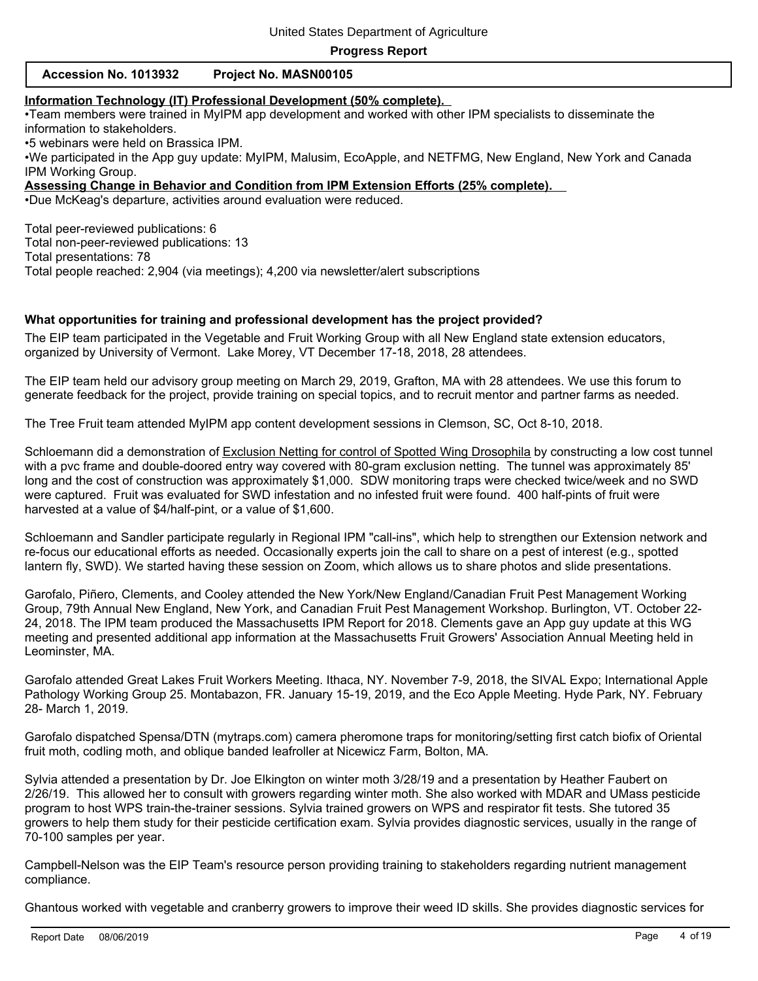| Accession No. 1013932 | Project No. MASN00105 |
|-----------------------|-----------------------|
|-----------------------|-----------------------|

#### **Information Technology (IT) Professional Development (50% complete).**

•Team members were trained in MyIPM app development and worked with other IPM specialists to disseminate the information to stakeholders.

•5 webinars were held on Brassica IPM.

•We participated in the App guy update: MyIPM, Malusim, EcoApple, and NETFMG, New England, New York and Canada IPM Working Group.

**Assessing Change in Behavior and Condition from IPM Extension Efforts (25% complete).** 

•Due McKeag's departure, activities around evaluation were reduced.

Total peer-reviewed publications: 6 Total non-peer-reviewed publications: 13 Total presentations: 78 Total people reached: 2,904 (via meetings); 4,200 via newsletter/alert subscriptions

#### **What opportunities for training and professional development has the project provided?**

The EIP team participated in the Vegetable and Fruit Working Group with all New England state extension educators, organized by University of Vermont. Lake Morey, VT December 17-18, 2018, 28 attendees.

The EIP team held our advisory group meeting on March 29, 2019, Grafton, MA with 28 attendees. We use this forum to generate feedback for the project, provide training on special topics, and to recruit mentor and partner farms as needed.

The Tree Fruit team attended MyIPM app content development sessions in Clemson, SC, Oct 8-10, 2018.

Schloemann did a demonstration of Exclusion Netting for control of Spotted Wing Drosophila by constructing a low cost tunnel with a pvc frame and double-doored entry way covered with 80-gram exclusion netting. The tunnel was approximately 85' long and the cost of construction was approximately \$1,000. SDW monitoring traps were checked twice/week and no SWD were captured. Fruit was evaluated for SWD infestation and no infested fruit were found. 400 half-pints of fruit were harvested at a value of \$4/half-pint, or a value of \$1,600.

Schloemann and Sandler participate regularly in Regional IPM "call-ins", which help to strengthen our Extension network and re-focus our educational efforts as needed. Occasionally experts join the call to share on a pest of interest (e.g., spotted lantern fly, SWD). We started having these session on Zoom, which allows us to share photos and slide presentations.

Garofalo, Piñero, Clements, and Cooley attended the New York/New England/Canadian Fruit Pest Management Working Group, 79th Annual New England, New York, and Canadian Fruit Pest Management Workshop. Burlington, VT. October 22- 24, 2018. The IPM team produced the Massachusetts IPM Report for 2018. Clements gave an App guy update at this WG meeting and presented additional app information at the Massachusetts Fruit Growers' Association Annual Meeting held in Leominster, MA.

Garofalo attended Great Lakes Fruit Workers Meeting. Ithaca, NY. November 7-9, 2018, the SIVAL Expo; International Apple Pathology Working Group 25. Montabazon, FR. January 15-19, 2019, and the Eco Apple Meeting. Hyde Park, NY. February 28- March 1, 2019.

Garofalo dispatched Spensa/DTN (mytraps.com) camera pheromone traps for monitoring/setting first catch biofix of Oriental fruit moth, codling moth, and oblique banded leafroller at Nicewicz Farm, Bolton, MA.

Sylvia attended a presentation by Dr. Joe Elkington on winter moth 3/28/19 and a presentation by Heather Faubert on 2/26/19. This allowed her to consult with growers regarding winter moth. She also worked with MDAR and UMass pesticide program to host WPS train-the-trainer sessions. Sylvia trained growers on WPS and respirator fit tests. She tutored 35 growers to help them study for their pesticide certification exam. Sylvia provides diagnostic services, usually in the range of 70-100 samples per year.

Campbell-Nelson was the EIP Team's resource person providing training to stakeholders regarding nutrient management compliance.

Ghantous worked with vegetable and cranberry growers to improve their weed ID skills. She provides diagnostic services for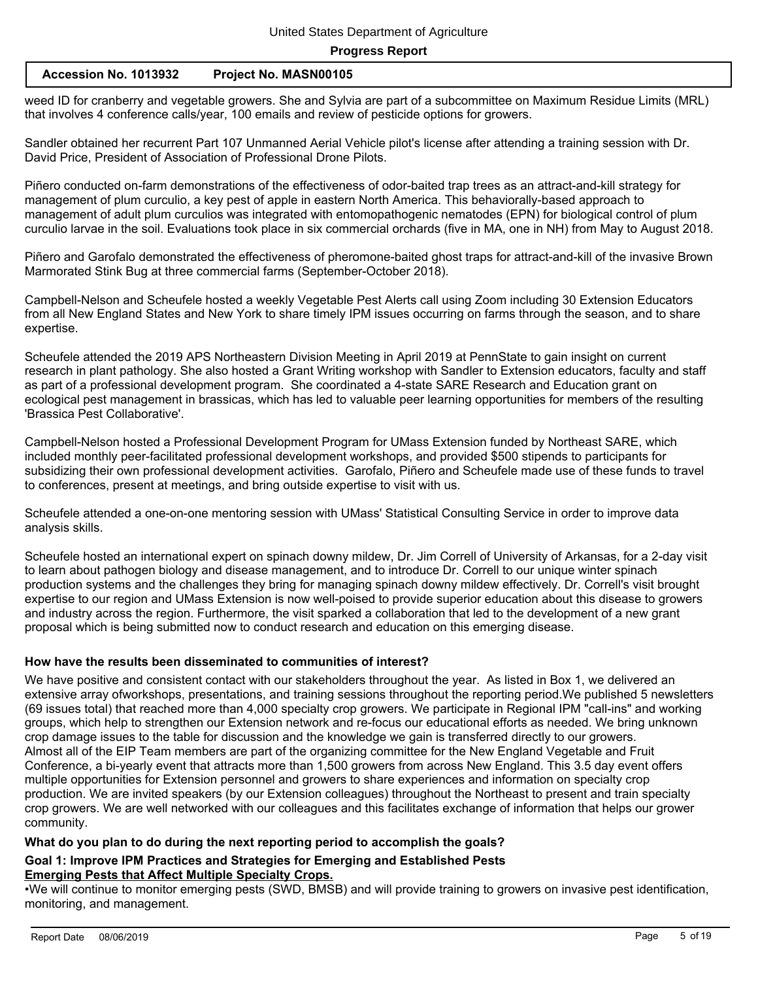#### **Accession No. 1013932 Project No. MASN00105**

weed ID for cranberry and vegetable growers. She and Sylvia are part of a subcommittee on Maximum Residue Limits (MRL) that involves 4 conference calls/year, 100 emails and review of pesticide options for growers.

Sandler obtained her recurrent Part 107 Unmanned Aerial Vehicle pilot's license after attending a training session with Dr. David Price, President of Association of Professional Drone Pilots.

Piñero conducted on-farm demonstrations of the effectiveness of odor-baited trap trees as an attract-and-kill strategy for management of plum curculio, a key pest of apple in eastern North America. This behaviorally-based approach to management of adult plum curculios was integrated with entomopathogenic nematodes (EPN) for biological control of plum curculio larvae in the soil. Evaluations took place in six commercial orchards (five in MA, one in NH) from May to August 2018.

Piñero and Garofalo demonstrated the effectiveness of pheromone-baited ghost traps for attract-and-kill of the invasive Brown Marmorated Stink Bug at three commercial farms (September-October 2018).

Campbell-Nelson and Scheufele hosted a weekly Vegetable Pest Alerts call using Zoom including 30 Extension Educators from all New England States and New York to share timely IPM issues occurring on farms through the season, and to share expertise.

Scheufele attended the 2019 APS Northeastern Division Meeting in April 2019 at PennState to gain insight on current research in plant pathology. She also hosted a Grant Writing workshop with Sandler to Extension educators, faculty and staff as part of a professional development program. She coordinated a 4-state SARE Research and Education grant on ecological pest management in brassicas, which has led to valuable peer learning opportunities for members of the resulting 'Brassica Pest Collaborative'.

Campbell-Nelson hosted a Professional Development Program for UMass Extension funded by Northeast SARE, which included monthly peer-facilitated professional development workshops, and provided \$500 stipends to participants for subsidizing their own professional development activities. Garofalo, Piñero and Scheufele made use of these funds to travel to conferences, present at meetings, and bring outside expertise to visit with us.

Scheufele attended a one-on-one mentoring session with UMass' Statistical Consulting Service in order to improve data analysis skills.

Scheufele hosted an international expert on spinach downy mildew, Dr. Jim Correll of University of Arkansas, for a 2-day visit to learn about pathogen biology and disease management, and to introduce Dr. Correll to our unique winter spinach production systems and the challenges they bring for managing spinach downy mildew effectively. Dr. Correll's visit brought expertise to our region and UMass Extension is now well-poised to provide superior education about this disease to growers and industry across the region. Furthermore, the visit sparked a collaboration that led to the development of a new grant proposal which is being submitted now to conduct research and education on this emerging disease.

## **How have the results been disseminated to communities of interest?**

We have positive and consistent contact with our stakeholders throughout the year. As listed in Box 1, we delivered an extensive array ofworkshops, presentations, and training sessions throughout the reporting period.We published 5 newsletters (69 issues total) that reached more than 4,000 specialty crop growers. We participate in Regional IPM "call-ins" and working groups, which help to strengthen our Extension network and re-focus our educational efforts as needed. We bring unknown crop damage issues to the table for discussion and the knowledge we gain is transferred directly to our growers. Almost all of the EIP Team members are part of the organizing committee for the New England Vegetable and Fruit Conference, a bi-yearly event that attracts more than 1,500 growers from across New England. This 3.5 day event offers multiple opportunities for Extension personnel and growers to share experiences and information on specialty crop production. We are invited speakers (by our Extension colleagues) throughout the Northeast to present and train specialty crop growers. We are well networked with our colleagues and this facilitates exchange of information that helps our grower community.

## **What do you plan to do during the next reporting period to accomplish the goals?**

# **Goal 1: Improve IPM Practices and Strategies for Emerging and Established Pests Emerging Pests that Affect Multiple Specialty Crops.**

•We will continue to monitor emerging pests (SWD, BMSB) and will provide training to growers on invasive pest identification, monitoring, and management.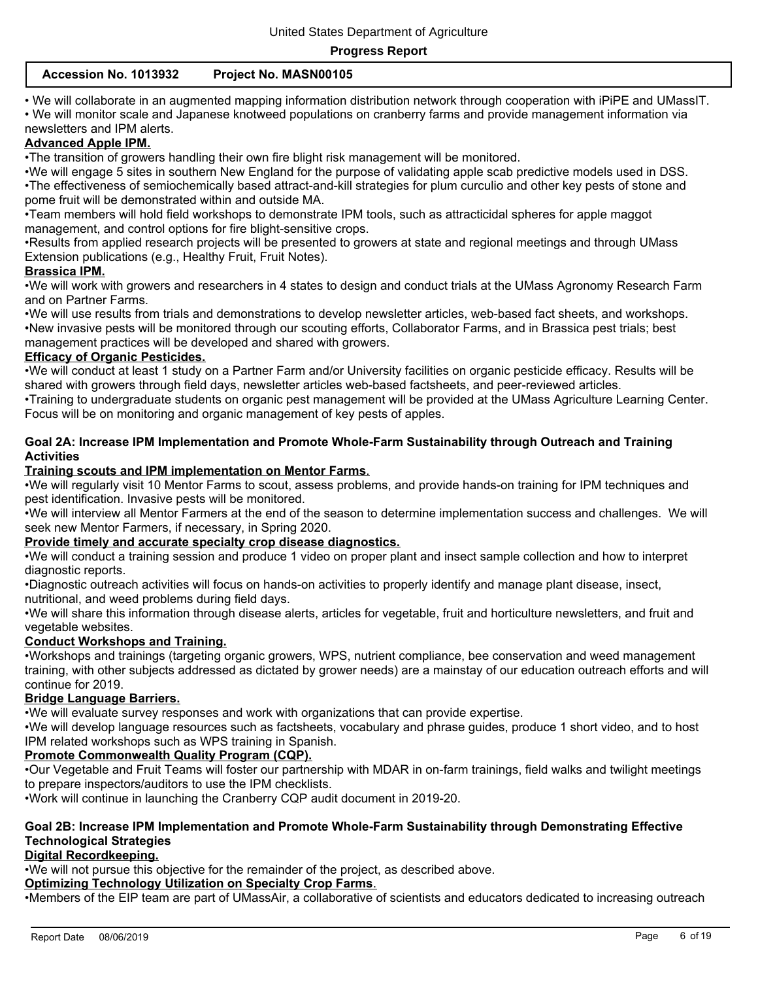| Accession No. 1013932 | Project No. MASN00105 |
|-----------------------|-----------------------|
|-----------------------|-----------------------|

• We will collaborate in an augmented mapping information distribution network through cooperation with iPiPE and UMassIT.

• We will monitor scale and Japanese knotweed populations on cranberry farms and provide management information via newsletters and IPM alerts.

# **Advanced Apple IPM.**

•The transition of growers handling their own fire blight risk management will be monitored.

•We will engage 5 sites in southern New England for the purpose of validating apple scab predictive models used in DSS. •The effectiveness of semiochemically based attract-and-kill strategies for plum curculio and other key pests of stone and pome fruit will be demonstrated within and outside MA.

•Team members will hold field workshops to demonstrate IPM tools, such as attracticidal spheres for apple maggot management, and control options for fire blight-sensitive crops.

•Results from applied research projects will be presented to growers at state and regional meetings and through UMass Extension publications (e.g., Healthy Fruit, Fruit Notes).

# **Brassica IPM.**

•We will work with growers and researchers in 4 states to design and conduct trials at the UMass Agronomy Research Farm and on Partner Farms.

•We will use results from trials and demonstrations to develop newsletter articles, web-based fact sheets, and workshops. •New invasive pests will be monitored through our scouting efforts, Collaborator Farms, and in Brassica pest trials; best management practices will be developed and shared with growers.

# **Efficacy of Organic Pesticides.**

•We will conduct at least 1 study on a Partner Farm and/or University facilities on organic pesticide efficacy. Results will be shared with growers through field days, newsletter articles web-based factsheets, and peer-reviewed articles.

•Training to undergraduate students on organic pest management will be provided at the UMass Agriculture Learning Center. Focus will be on monitoring and organic management of key pests of apples.

## **Goal 2A: Increase IPM Implementation and Promote Whole-Farm Sustainability through Outreach and Training Activities**

# **Training scouts and IPM implementation on Mentor Farms**.

•We will regularly visit 10 Mentor Farms to scout, assess problems, and provide hands-on training for IPM techniques and pest identification. Invasive pests will be monitored.

•We will interview all Mentor Farmers at the end of the season to determine implementation success and challenges. We will seek new Mentor Farmers, if necessary, in Spring 2020.

#### **Provide timely and accurate specialty crop disease diagnostics.**

•We will conduct a training session and produce 1 video on proper plant and insect sample collection and how to interpret diagnostic reports.

•Diagnostic outreach activities will focus on hands-on activities to properly identify and manage plant disease, insect, nutritional, and weed problems during field days.

•We will share this information through disease alerts, articles for vegetable, fruit and horticulture newsletters, and fruit and vegetable websites.

# **Conduct Workshops and Training.**

•Workshops and trainings (targeting organic growers, WPS, nutrient compliance, bee conservation and weed management training, with other subjects addressed as dictated by grower needs) are a mainstay of our education outreach efforts and will continue for 2019.

# **Bridge Language Barriers.**

•We will evaluate survey responses and work with organizations that can provide expertise.

•We will develop language resources such as factsheets, vocabulary and phrase guides, produce 1 short video, and to host IPM related workshops such as WPS training in Spanish.

# **Promote Commonwealth Quality Program (CQP).**

•Our Vegetable and Fruit Teams will foster our partnership with MDAR in on-farm trainings, field walks and twilight meetings to prepare inspectors/auditors to use the IPM checklists.

•Work will continue in launching the Cranberry CQP audit document in 2019-20.

# **Goal 2B: Increase IPM Implementation and Promote Whole-Farm Sustainability through Demonstrating Effective Technological Strategies**

# **Digital Recordkeeping.**

•We will not pursue this objective for the remainder of the project, as described above.

# **Optimizing Technology Utilization on Specialty Crop Farms**.

•Members of the EIP team are part of UMassAir, a collaborative of scientists and educators dedicated to increasing outreach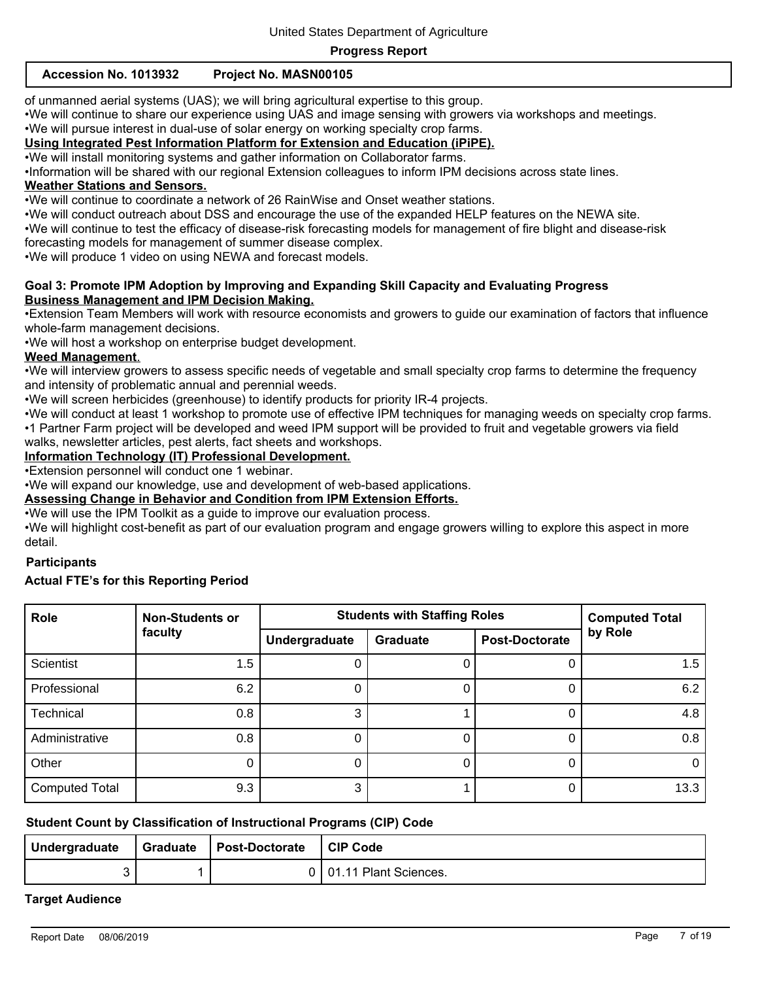# **Accession No. 1013932 Project No. MASN00105**

of unmanned aerial systems (UAS); we will bring agricultural expertise to this group.

•We will continue to share our experience using UAS and image sensing with growers via workshops and meetings.

•We will pursue interest in dual-use of solar energy on working specialty crop farms.

# **Using Integrated Pest Information Platform for Extension and Education (iPiPE).**

•We will install monitoring systems and gather information on Collaborator farms.

•Information will be shared with our regional Extension colleagues to inform IPM decisions across state lines.

# **Weather Stations and Sensors.**

•We will continue to coordinate a network of 26 RainWise and Onset weather stations.

•We will conduct outreach about DSS and encourage the use of the expanded HELP features on the NEWA site.

•We will continue to test the efficacy of disease-risk forecasting models for management of fire blight and disease-risk

forecasting models for management of summer disease complex.

•We will produce 1 video on using NEWA and forecast models.

# **Goal 3: Promote IPM Adoption by Improving and Expanding Skill Capacity and Evaluating Progress Business Management and IPM Decision Making.**

•Extension Team Members will work with resource economists and growers to guide our examination of factors that influence whole-farm management decisions.

•We will host a workshop on enterprise budget development.

#### **Weed Management**.

•We will interview growers to assess specific needs of vegetable and small specialty crop farms to determine the frequency and intensity of problematic annual and perennial weeds.

•We will screen herbicides (greenhouse) to identify products for priority IR-4 projects.

•We will conduct at least 1 workshop to promote use of effective IPM techniques for managing weeds on specialty crop farms. •1 Partner Farm project will be developed and weed IPM support will be provided to fruit and vegetable growers via field

walks, newsletter articles, pest alerts, fact sheets and workshops.

# **Information Technology (IT) Professional Development.**

•Extension personnel will conduct one 1 webinar.

•We will expand our knowledge, use and development of web-based applications.

#### **Assessing Change in Behavior and Condition from IPM Extension Efforts.**

•We will use the IPM Toolkit as a guide to improve our evaluation process.

•We will highlight cost-benefit as part of our evaluation program and engage growers willing to explore this aspect in more detail.

#### **Participants**

## **Actual FTE's for this Reporting Period**

| Role                  | <b>Non-Students or</b> | <b>Students with Staffing Roles</b> | <b>Computed Total</b> |                       |          |
|-----------------------|------------------------|-------------------------------------|-----------------------|-----------------------|----------|
|                       | faculty                | Undergraduate                       | <b>Graduate</b>       | <b>Post-Doctorate</b> | by Role  |
| <b>Scientist</b>      | 1.5                    |                                     | 0                     |                       | 1.5      |
| Professional          | 6.2                    |                                     |                       | O                     | 6.2      |
| Technical             | 0.8                    | 3                                   |                       | 0                     | 4.8      |
| Administrative        | 0.8                    |                                     |                       |                       | 0.8      |
| Other                 |                        |                                     | 0                     | 0                     | $\Omega$ |
| <b>Computed Total</b> | 9.3                    | 3                                   |                       | 0                     | 13.3     |

#### **Student Count by Classification of Instructional Programs (CIP) Code**

| Undergraduate | Graduate   Post-Doctorate | CIP Code              |
|---------------|---------------------------|-----------------------|
|               |                           | 01.11 Plant Sciences. |

#### **Target Audience**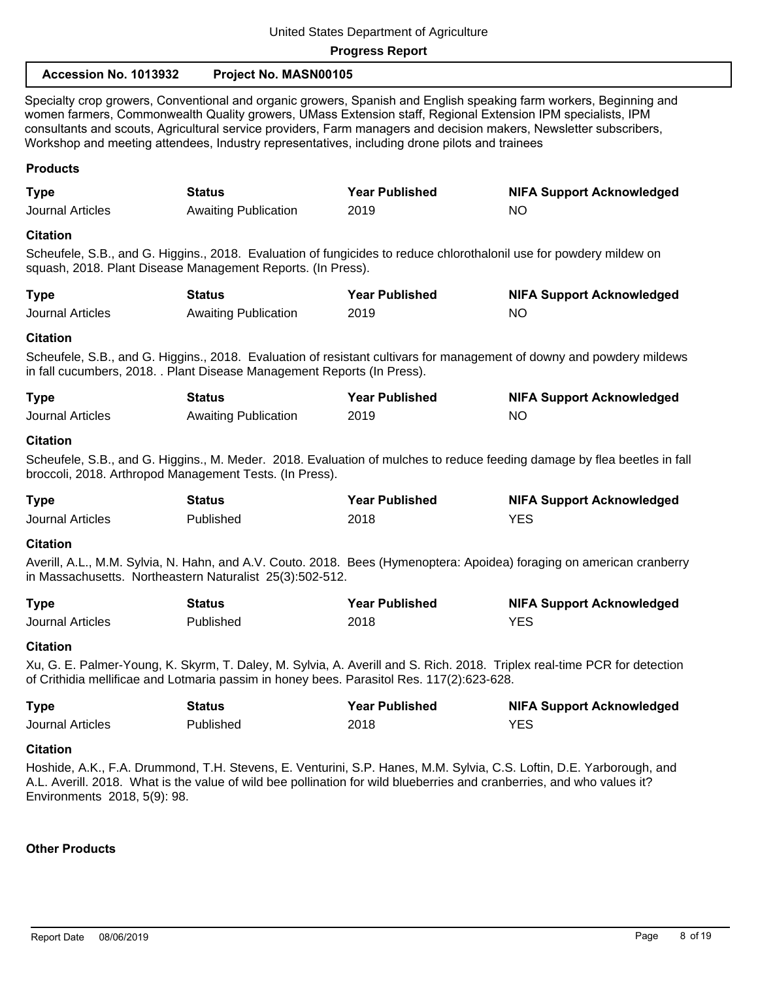| Accession No. 1013932                                                                                                                                                                                                                                                                                                                                                                                                                                    | Project No. MASN00105       |                       |                                                                                                                       |  |
|----------------------------------------------------------------------------------------------------------------------------------------------------------------------------------------------------------------------------------------------------------------------------------------------------------------------------------------------------------------------------------------------------------------------------------------------------------|-----------------------------|-----------------------|-----------------------------------------------------------------------------------------------------------------------|--|
| Specialty crop growers, Conventional and organic growers, Spanish and English speaking farm workers, Beginning and<br>women farmers, Commonwealth Quality growers, UMass Extension staff, Regional Extension IPM specialists, IPM<br>consultants and scouts, Agricultural service providers, Farm managers and decision makers, Newsletter subscribers,<br>Workshop and meeting attendees, Industry representatives, including drone pilots and trainees |                             |                       |                                                                                                                       |  |
| <b>Products</b>                                                                                                                                                                                                                                                                                                                                                                                                                                          |                             |                       |                                                                                                                       |  |
| <b>Type</b>                                                                                                                                                                                                                                                                                                                                                                                                                                              | <b>Status</b>               | <b>Year Published</b> | <b>NIFA Support Acknowledged</b>                                                                                      |  |
| Journal Articles                                                                                                                                                                                                                                                                                                                                                                                                                                         | <b>Awaiting Publication</b> | 2019                  | <b>NO</b>                                                                                                             |  |
| <b>Citation</b>                                                                                                                                                                                                                                                                                                                                                                                                                                          |                             |                       |                                                                                                                       |  |
| Scheufele, S.B., and G. Higgins., 2018. Evaluation of fungicides to reduce chlorothalonil use for powdery mildew on<br>squash, 2018. Plant Disease Management Reports. (In Press).                                                                                                                                                                                                                                                                       |                             |                       |                                                                                                                       |  |
| <b>Type</b>                                                                                                                                                                                                                                                                                                                                                                                                                                              | <b>Status</b>               | <b>Year Published</b> | <b>NIFA Support Acknowledged</b>                                                                                      |  |
| <b>Journal Articles</b>                                                                                                                                                                                                                                                                                                                                                                                                                                  | <b>Awaiting Publication</b> | 2019                  | <b>NO</b>                                                                                                             |  |
| <b>Citation</b>                                                                                                                                                                                                                                                                                                                                                                                                                                          |                             |                       |                                                                                                                       |  |
| in fall cucumbers, 2018. . Plant Disease Management Reports (In Press).                                                                                                                                                                                                                                                                                                                                                                                  |                             |                       | Scheufele, S.B., and G. Higgins., 2018. Evaluation of resistant cultivars for management of downy and powdery mildews |  |
| <b>Type</b>                                                                                                                                                                                                                                                                                                                                                                                                                                              | <b>Status</b>               | <b>Year Published</b> | <b>NIFA Support Acknowledged</b>                                                                                      |  |
| <b>Journal Articles</b>                                                                                                                                                                                                                                                                                                                                                                                                                                  | <b>Awaiting Publication</b> | 2019                  | <b>NO</b>                                                                                                             |  |
| <b>Citation</b><br>Scheufele, S.B., and G. Higgins., M. Meder. 2018. Evaluation of mulches to reduce feeding damage by flea beetles in fall<br>broccoli, 2018. Arthropod Management Tests. (In Press).                                                                                                                                                                                                                                                   |                             |                       |                                                                                                                       |  |
| <b>Type</b>                                                                                                                                                                                                                                                                                                                                                                                                                                              | <b>Status</b>               | <b>Year Published</b> | <b>NIFA Support Acknowledged</b>                                                                                      |  |
| <b>Journal Articles</b>                                                                                                                                                                                                                                                                                                                                                                                                                                  | Published                   | 2018                  | <b>YES</b>                                                                                                            |  |
| <b>Citation</b>                                                                                                                                                                                                                                                                                                                                                                                                                                          |                             |                       |                                                                                                                       |  |
| Averill, A.L., M.M. Sylvia, N. Hahn, and A.V. Couto. 2018. Bees (Hymenoptera: Apoidea) foraging on american cranberry<br>in Massachusetts. Northeastern Naturalist 25(3):502-512.                                                                                                                                                                                                                                                                        |                             |                       |                                                                                                                       |  |
| <b>Type</b>                                                                                                                                                                                                                                                                                                                                                                                                                                              | <b>Status</b>               | <b>Year Published</b> | <b>NIFA Support Acknowledged</b>                                                                                      |  |
| <b>Journal Articles</b>                                                                                                                                                                                                                                                                                                                                                                                                                                  | Published                   | 2018                  | <b>YES</b>                                                                                                            |  |
| <b>Citation</b>                                                                                                                                                                                                                                                                                                                                                                                                                                          |                             |                       |                                                                                                                       |  |
| Xu, G. E. Palmer-Young, K. Skyrm, T. Daley, M. Sylvia, A. Averill and S. Rich. 2018. Triplex real-time PCR for detection<br>of Crithidia mellificae and Lotmaria passim in honey bees. Parasitol Res. 117(2):623-628.                                                                                                                                                                                                                                    |                             |                       |                                                                                                                       |  |
| <b>Type</b>                                                                                                                                                                                                                                                                                                                                                                                                                                              | <b>Status</b>               | <b>Year Published</b> | <b>NIFA Support Acknowledged</b>                                                                                      |  |
| <b>Journal Articles</b>                                                                                                                                                                                                                                                                                                                                                                                                                                  | Published                   | 2018                  | <b>YES</b>                                                                                                            |  |
| <b>Citation</b><br>Hoshide, A.K., F.A. Drummond, T.H. Stevens, E. Venturini, S.P. Hanes, M.M. Sylvia, C.S. Loftin, D.E. Yarborough, and<br>A.L. Averill. 2018. What is the value of wild bee pollination for wild blueberries and cranberries, and who values it?<br>Environments 2018, 5(9): 98.                                                                                                                                                        |                             |                       |                                                                                                                       |  |

# **Other Products**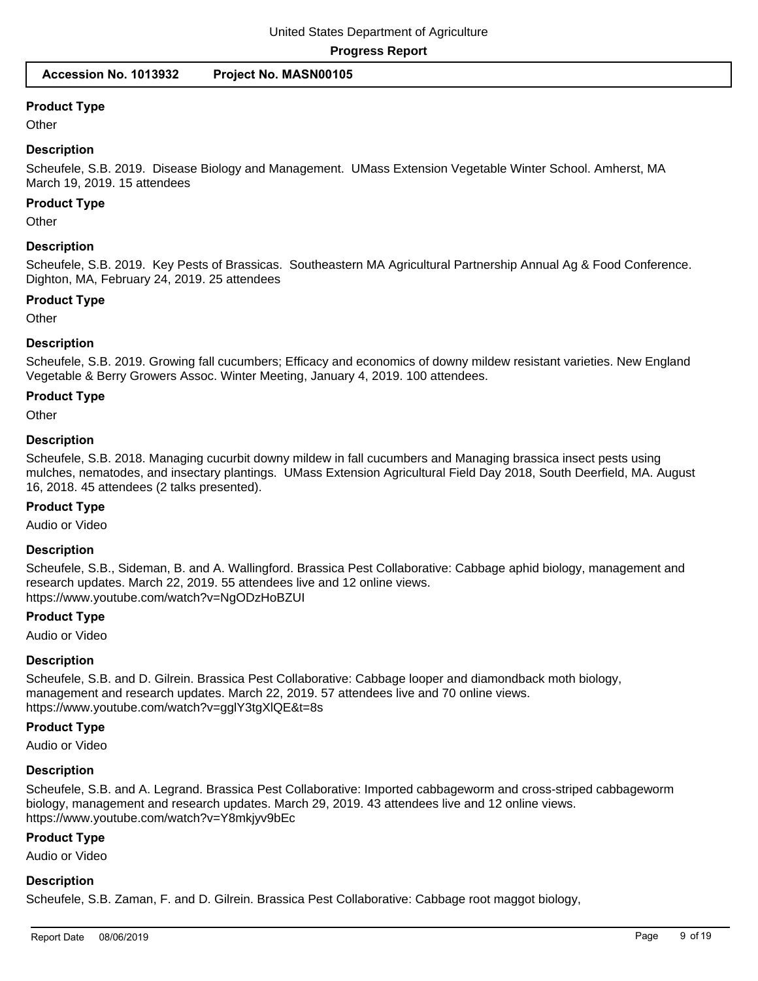**Accession No. 1013932 Project No. MASN00105**

# **Product Type**

**Other** 

## **Description**

Scheufele, S.B. 2019. Disease Biology and Management. UMass Extension Vegetable Winter School. Amherst, MA March 19, 2019. 15 attendees

#### **Product Type**

**Other** 

#### **Description**

Scheufele, S.B. 2019. Key Pests of Brassicas. Southeastern MA Agricultural Partnership Annual Ag & Food Conference. Dighton, MA, February 24, 2019. 25 attendees

#### **Product Type**

**Other** 

#### **Description**

Scheufele, S.B. 2019. Growing fall cucumbers; Efficacy and economics of downy mildew resistant varieties. New England Vegetable & Berry Growers Assoc. Winter Meeting, January 4, 2019. 100 attendees.

# **Product Type**

**Other** 

#### **Description**

Scheufele, S.B. 2018. Managing cucurbit downy mildew in fall cucumbers and Managing brassica insect pests using mulches, nematodes, and insectary plantings. UMass Extension Agricultural Field Day 2018, South Deerfield, MA. August 16, 2018. 45 attendees (2 talks presented).

#### **Product Type**

Audio or Video

#### **Description**

Scheufele, S.B., Sideman, B. and A. Wallingford. Brassica Pest Collaborative: Cabbage aphid biology, management and research updates. March 22, 2019. 55 attendees live and 12 online views. https://www.youtube.com/watch?v=NgODzHoBZUI

#### **Product Type**

Audio or Video

#### **Description**

Scheufele, S.B. and D. Gilrein. Brassica Pest Collaborative: Cabbage looper and diamondback moth biology, management and research updates. March 22, 2019. 57 attendees live and 70 online views. https://www.youtube.com/watch?v=gglY3tgXlQE&t=8s

# **Product Type**

Audio or Video

#### **Description**

Scheufele, S.B. and A. Legrand. Brassica Pest Collaborative: Imported cabbageworm and cross-striped cabbageworm biology, management and research updates. March 29, 2019. 43 attendees live and 12 online views. https://www.youtube.com/watch?v=Y8mkjyv9bEc

# **Product Type**

Audio or Video

# **Description**

Scheufele, S.B. Zaman, F. and D. Gilrein. Brassica Pest Collaborative: Cabbage root maggot biology,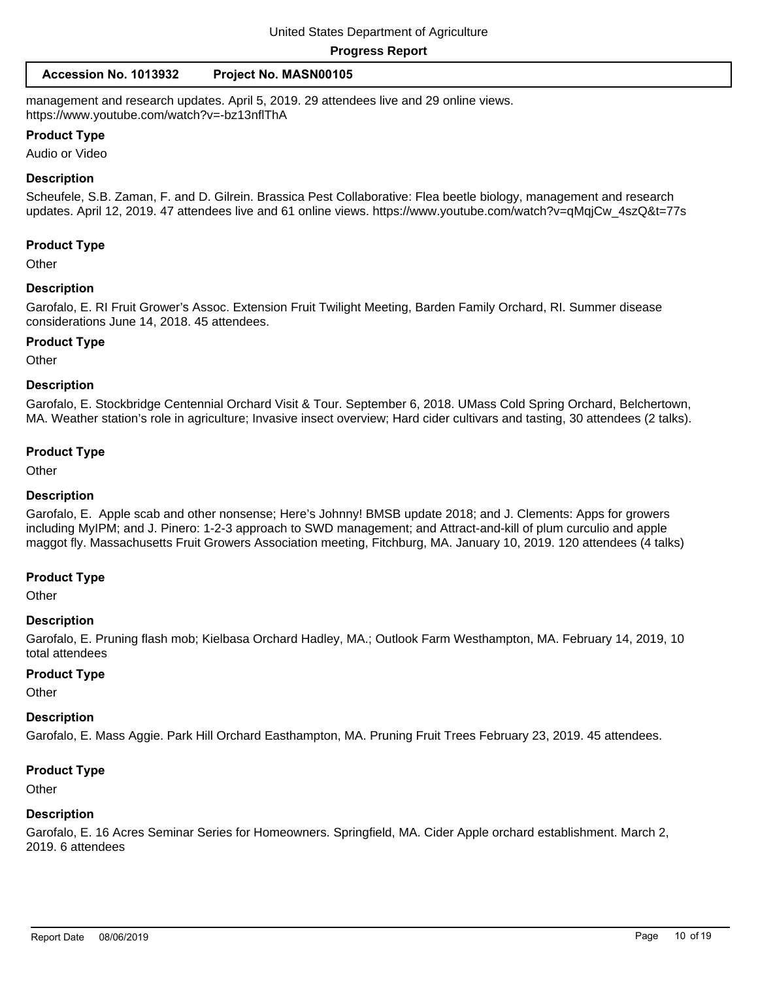#### **Accession No. 1013932 Project No. MASN00105**

management and research updates. April 5, 2019. 29 attendees live and 29 online views. https://www.youtube.com/watch?v=-bz13nflThA

#### **Product Type**

Audio or Video

#### **Description**

Scheufele, S.B. Zaman, F. and D. Gilrein. Brassica Pest Collaborative: Flea beetle biology, management and research updates. April 12, 2019. 47 attendees live and 61 online views. https://www.youtube.com/watch?v=qMqjCw\_4szQ&t=77s

#### **Product Type**

**Other** 

#### **Description**

Garofalo, E. RI Fruit Grower's Assoc. Extension Fruit Twilight Meeting, Barden Family Orchard, RI. Summer disease considerations June 14, 2018. 45 attendees.

#### **Product Type**

**Other** 

#### **Description**

Garofalo, E. Stockbridge Centennial Orchard Visit & Tour. September 6, 2018. UMass Cold Spring Orchard, Belchertown, MA. Weather station's role in agriculture; Invasive insect overview; Hard cider cultivars and tasting, 30 attendees (2 talks).

#### **Product Type**

**Other** 

#### **Description**

Garofalo, E. Apple scab and other nonsense; Here's Johnny! BMSB update 2018; and J. Clements: Apps for growers including MyIPM; and J. Pinero: 1-2-3 approach to SWD management; and Attract-and-kill of plum curculio and apple maggot fly. Massachusetts Fruit Growers Association meeting, Fitchburg, MA. January 10, 2019. 120 attendees (4 talks)

#### **Product Type**

**Other** 

#### **Description**

Garofalo, E. Pruning flash mob; Kielbasa Orchard Hadley, MA.; Outlook Farm Westhampton, MA. February 14, 2019, 10 total attendees

#### **Product Type**

**Other** 

#### **Description**

Garofalo, E. Mass Aggie. Park Hill Orchard Easthampton, MA. Pruning Fruit Trees February 23, 2019. 45 attendees.

#### **Product Type**

**Other** 

#### **Description**

Garofalo, E. 16 Acres Seminar Series for Homeowners. Springfield, MA. Cider Apple orchard establishment. March 2, 2019. 6 attendees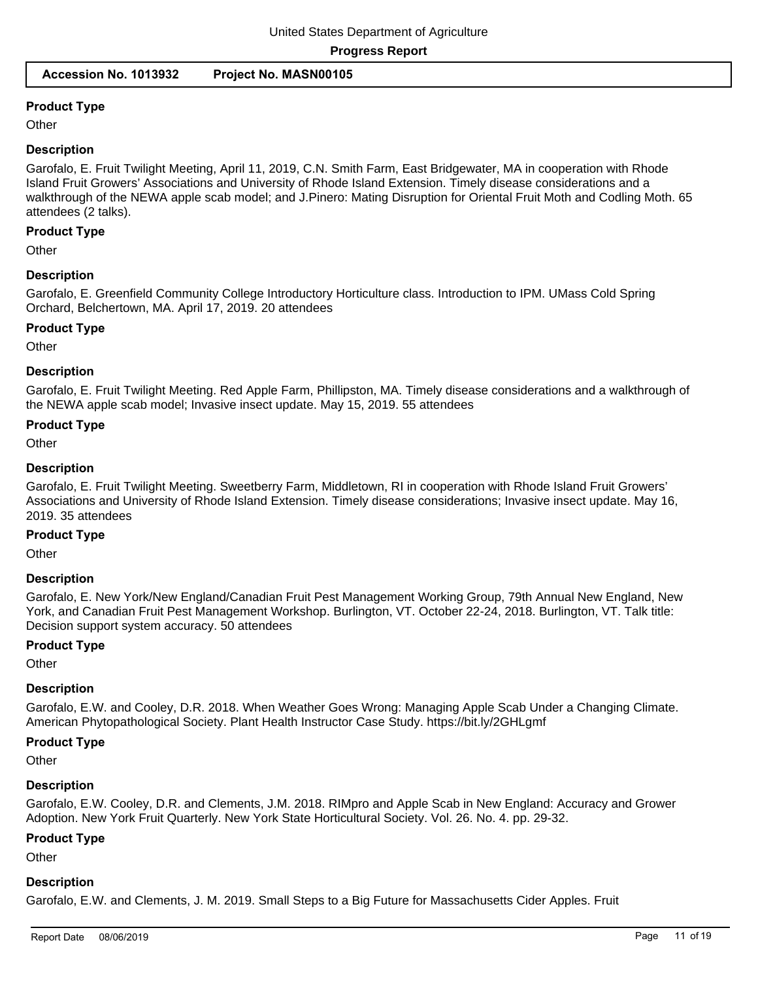# **Product Type**

**Other** 

#### **Description**

Garofalo, E. Fruit Twilight Meeting, April 11, 2019, C.N. Smith Farm, East Bridgewater, MA in cooperation with Rhode Island Fruit Growers' Associations and University of Rhode Island Extension. Timely disease considerations and a walkthrough of the NEWA apple scab model; and J.Pinero: Mating Disruption for Oriental Fruit Moth and Codling Moth. 65 attendees (2 talks).

#### **Product Type**

**Other** 

#### **Description**

Garofalo, E. Greenfield Community College Introductory Horticulture class. Introduction to IPM. UMass Cold Spring Orchard, Belchertown, MA. April 17, 2019. 20 attendees

#### **Product Type**

**Other** 

#### **Description**

Garofalo, E. Fruit Twilight Meeting. Red Apple Farm, Phillipston, MA. Timely disease considerations and a walkthrough of the NEWA apple scab model; Invasive insect update. May 15, 2019. 55 attendees

#### **Product Type**

**Other** 

#### **Description**

Garofalo, E. Fruit Twilight Meeting. Sweetberry Farm, Middletown, RI in cooperation with Rhode Island Fruit Growers' Associations and University of Rhode Island Extension. Timely disease considerations; Invasive insect update. May 16, 2019. 35 attendees

#### **Product Type**

**Other** 

#### **Description**

Garofalo, E. New York/New England/Canadian Fruit Pest Management Working Group, 79th Annual New England, New York, and Canadian Fruit Pest Management Workshop. Burlington, VT. October 22-24, 2018. Burlington, VT. Talk title: Decision support system accuracy. 50 attendees

#### **Product Type**

**Other** 

#### **Description**

Garofalo, E.W. and Cooley, D.R. 2018. When Weather Goes Wrong: Managing Apple Scab Under a Changing Climate. American Phytopathological Society. Plant Health Instructor Case Study. https://bit.ly/2GHLgmf

#### **Product Type**

**Other** 

#### **Description**

Garofalo, E.W. Cooley, D.R. and Clements, J.M. 2018. RIMpro and Apple Scab in New England: Accuracy and Grower Adoption. New York Fruit Quarterly. New York State Horticultural Society. Vol. 26. No. 4. pp. 29-32.

#### **Product Type**

**Other** 

#### **Description**

Garofalo, E.W. and Clements, J. M. 2019. Small Steps to a Big Future for Massachusetts Cider Apples. Fruit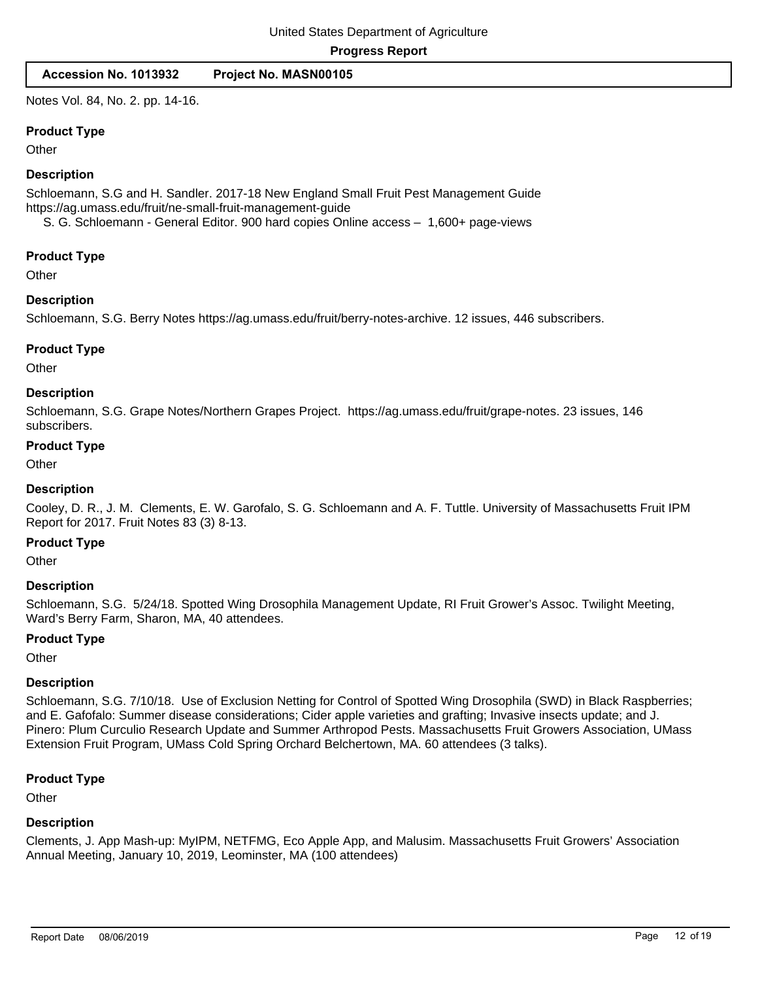Notes Vol. 84, No. 2. pp. 14-16.

#### **Product Type**

**Other** 

#### **Description**

Schloemann, S.G and H. Sandler. 2017-18 New England Small Fruit Pest Management Guide https://ag.umass.edu/fruit/ne-small-fruit-management-guide

S. G. Schloemann - General Editor. 900 hard copies Online access – 1,600+ page-views

#### **Product Type**

**Other** 

# **Description**

Schloemann, S.G. Berry Notes https://ag.umass.edu/fruit/berry-notes-archive. 12 issues, 446 subscribers.

# **Product Type**

**Other** 

# **Description**

Schloemann, S.G. Grape Notes/Northern Grapes Project. https://ag.umass.edu/fruit/grape-notes. 23 issues, 146 subscribers.

#### **Product Type**

**Other** 

# **Description**

Cooley, D. R., J. M. Clements, E. W. Garofalo, S. G. Schloemann and A. F. Tuttle. University of Massachusetts Fruit IPM Report for 2017. Fruit Notes 83 (3) 8-13.

#### **Product Type**

**Other** 

#### **Description**

Schloemann, S.G. 5/24/18. Spotted Wing Drosophila Management Update, RI Fruit Grower's Assoc. Twilight Meeting, Ward's Berry Farm, Sharon, MA, 40 attendees.

#### **Product Type**

**Other** 

#### **Description**

Schloemann, S.G. 7/10/18. Use of Exclusion Netting for Control of Spotted Wing Drosophila (SWD) in Black Raspberries; and E. Gafofalo: Summer disease considerations; Cider apple varieties and grafting; Invasive insects update; and J. Pinero: Plum Curculio Research Update and Summer Arthropod Pests. Massachusetts Fruit Growers Association, UMass Extension Fruit Program, UMass Cold Spring Orchard Belchertown, MA. 60 attendees (3 talks).

#### **Product Type**

**Other** 

#### **Description**

Clements, J. App Mash-up: MyIPM, NETFMG, Eco Apple App, and Malusim. Massachusetts Fruit Growers' Association Annual Meeting, January 10, 2019, Leominster, MA (100 attendees)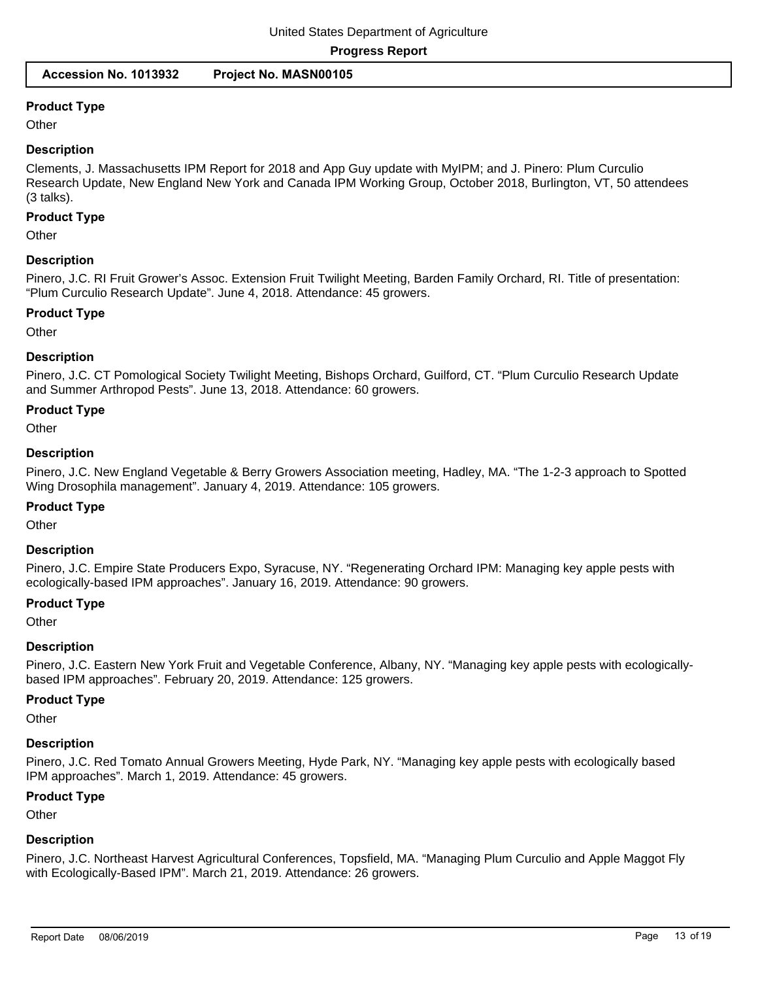# **Product Type**

**Other** 

## **Description**

Clements, J. Massachusetts IPM Report for 2018 and App Guy update with MyIPM; and J. Pinero: Plum Curculio Research Update, New England New York and Canada IPM Working Group, October 2018, Burlington, VT, 50 attendees (3 talks).

#### **Product Type**

**Other** 

#### **Description**

Pinero, J.C. RI Fruit Grower's Assoc. Extension Fruit Twilight Meeting, Barden Family Orchard, RI. Title of presentation: "Plum Curculio Research Update". June 4, 2018. Attendance: 45 growers.

#### **Product Type**

**Other** 

#### **Description**

Pinero, J.C. CT Pomological Society Twilight Meeting, Bishops Orchard, Guilford, CT. "Plum Curculio Research Update and Summer Arthropod Pests". June 13, 2018. Attendance: 60 growers.

#### **Product Type**

**Other** 

#### **Description**

Pinero, J.C. New England Vegetable & Berry Growers Association meeting, Hadley, MA. "The 1-2-3 approach to Spotted Wing Drosophila management". January 4, 2019. Attendance: 105 growers.

#### **Product Type**

**Other** 

#### **Description**

Pinero, J.C. Empire State Producers Expo, Syracuse, NY. "Regenerating Orchard IPM: Managing key apple pests with ecologically-based IPM approaches". January 16, 2019. Attendance: 90 growers.

#### **Product Type**

**Other** 

#### **Description**

Pinero, J.C. Eastern New York Fruit and Vegetable Conference, Albany, NY. "Managing key apple pests with ecologicallybased IPM approaches". February 20, 2019. Attendance: 125 growers.

#### **Product Type**

**Other** 

#### **Description**

Pinero, J.C. Red Tomato Annual Growers Meeting, Hyde Park, NY. "Managing key apple pests with ecologically based IPM approaches". March 1, 2019. Attendance: 45 growers.

#### **Product Type**

**Other** 

#### **Description**

Pinero, J.C. Northeast Harvest Agricultural Conferences, Topsfield, MA. "Managing Plum Curculio and Apple Maggot Fly with Ecologically-Based IPM". March 21, 2019. Attendance: 26 growers.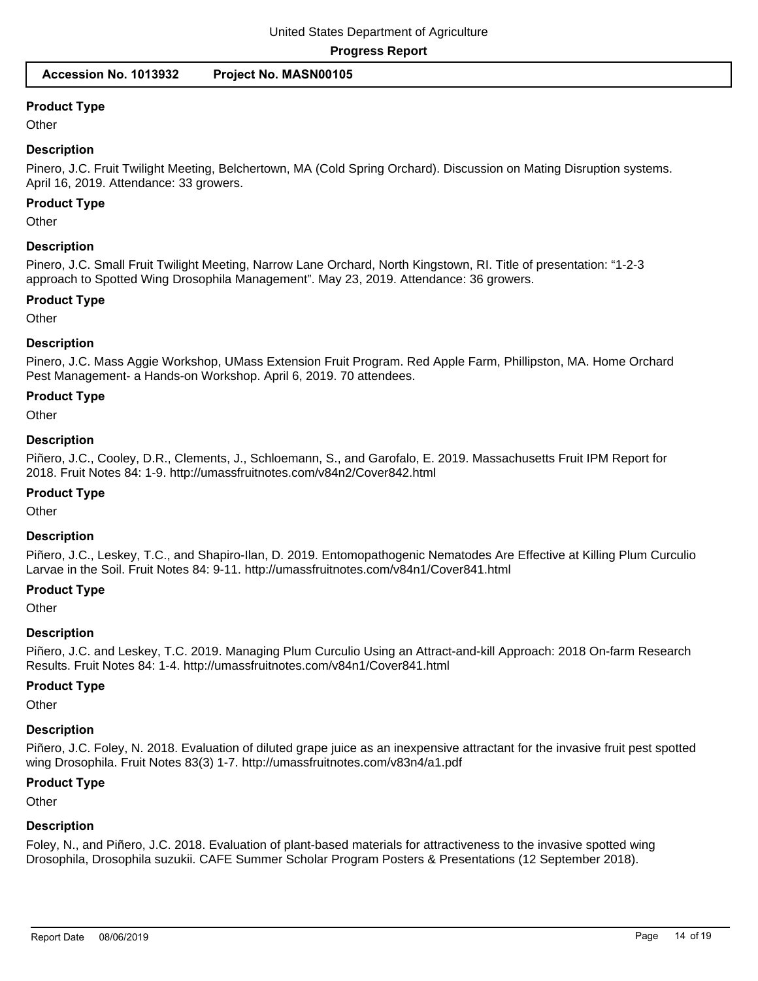# **Product Type**

**Other** 

# **Description**

Pinero, J.C. Fruit Twilight Meeting, Belchertown, MA (Cold Spring Orchard). Discussion on Mating Disruption systems. April 16, 2019. Attendance: 33 growers.

#### **Product Type**

**Other** 

# **Description**

Pinero, J.C. Small Fruit Twilight Meeting, Narrow Lane Orchard, North Kingstown, RI. Title of presentation: "1-2-3 approach to Spotted Wing Drosophila Management". May 23, 2019. Attendance: 36 growers.

## **Product Type**

**Other** 

# **Description**

Pinero, J.C. Mass Aggie Workshop, UMass Extension Fruit Program. Red Apple Farm, Phillipston, MA. Home Orchard Pest Management- a Hands-on Workshop. April 6, 2019. 70 attendees.

# **Product Type**

**Other** 

# **Description**

Piñero, J.C., Cooley, D.R., Clements, J., Schloemann, S., and Garofalo, E. 2019. Massachusetts Fruit IPM Report for 2018. Fruit Notes 84: 1-9. http://umassfruitnotes.com/v84n2/Cover842.html

#### **Product Type**

**Other** 

#### **Description**

Piñero, J.C., Leskey, T.C., and Shapiro-Ilan, D. 2019. Entomopathogenic Nematodes Are Effective at Killing Plum Curculio Larvae in the Soil. Fruit Notes 84: 9-11. http://umassfruitnotes.com/v84n1/Cover841.html

# **Product Type**

**Other** 

#### **Description**

Piñero, J.C. and Leskey, T.C. 2019. Managing Plum Curculio Using an Attract-and-kill Approach: 2018 On-farm Research Results. Fruit Notes 84: 1-4. http://umassfruitnotes.com/v84n1/Cover841.html

#### **Product Type**

**Other** 

# **Description**

Piñero, J.C. Foley, N. 2018. Evaluation of diluted grape juice as an inexpensive attractant for the invasive fruit pest spotted wing Drosophila. Fruit Notes 83(3) 1-7. http://umassfruitnotes.com/v83n4/a1.pdf

# **Product Type**

**Other** 

# **Description**

Foley, N., and Piñero, J.C. 2018. Evaluation of plant-based materials for attractiveness to the invasive spotted wing Drosophila, Drosophila suzukii. CAFE Summer Scholar Program Posters & Presentations (12 September 2018).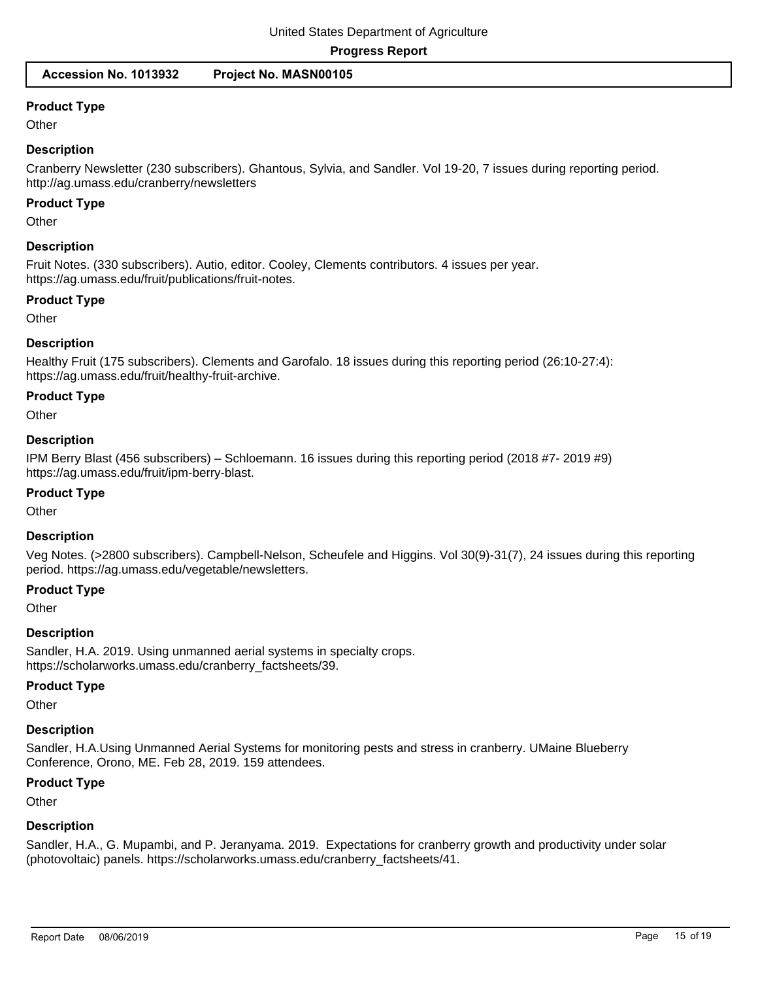# **Product Type**

**Other** 

# **Description**

Cranberry Newsletter (230 subscribers). Ghantous, Sylvia, and Sandler. Vol 19-20, 7 issues during reporting period. http://ag.umass.edu/cranberry/newsletters

## **Product Type**

**Other** 

#### **Description**

Fruit Notes. (330 subscribers). Autio, editor. Cooley, Clements contributors. 4 issues per year. https://ag.umass.edu/fruit/publications/fruit-notes.

#### **Product Type**

**Other** 

# **Description**

Healthy Fruit (175 subscribers). Clements and Garofalo. 18 issues during this reporting period (26:10-27:4): https://ag.umass.edu/fruit/healthy-fruit-archive.

#### **Product Type**

**Other** 

# **Description**

IPM Berry Blast (456 subscribers) – Schloemann. 16 issues during this reporting period (2018 #7- 2019 #9) https://ag.umass.edu/fruit/ipm-berry-blast.

#### **Product Type**

**Other** 

#### **Description**

Veg Notes. (>2800 subscribers). Campbell-Nelson, Scheufele and Higgins. Vol 30(9)-31(7), 24 issues during this reporting period. https://ag.umass.edu/vegetable/newsletters.

# **Product Type**

**Other** 

#### **Description**

Sandler, H.A. 2019. Using unmanned aerial systems in specialty crops. https://scholarworks.umass.edu/cranberry\_factsheets/39.

#### **Product Type**

**Other** 

#### **Description**

Sandler, H.A.Using Unmanned Aerial Systems for monitoring pests and stress in cranberry. UMaine Blueberry Conference, Orono, ME. Feb 28, 2019. 159 attendees.

## **Product Type**

**Other** 

#### **Description**

Sandler, H.A., G. Mupambi, and P. Jeranyama. 2019. Expectations for cranberry growth and productivity under solar (photovoltaic) panels. https://scholarworks.umass.edu/cranberry\_factsheets/41.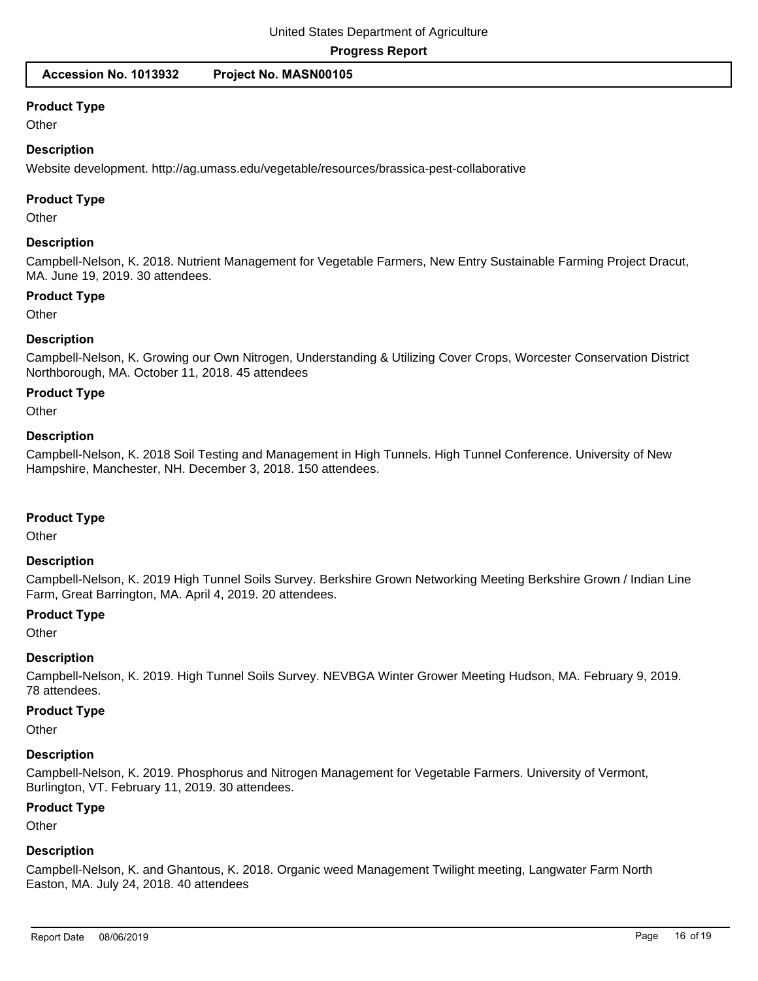**Accession No. 1013932 Project No. MASN00105**

## **Product Type**

**Other** 

## **Description**

Website development. http://ag.umass.edu/vegetable/resources/brassica-pest-collaborative

## **Product Type**

**Other** 

# **Description**

Campbell-Nelson, K. 2018. Nutrient Management for Vegetable Farmers, New Entry Sustainable Farming Project Dracut, MA. June 19, 2019. 30 attendees.

#### **Product Type**

**Other** 

#### **Description**

Campbell-Nelson, K. Growing our Own Nitrogen, Understanding & Utilizing Cover Crops, Worcester Conservation District Northborough, MA. October 11, 2018. 45 attendees

# **Product Type**

**Other** 

#### **Description**

Campbell-Nelson, K. 2018 Soil Testing and Management in High Tunnels. High Tunnel Conference. University of New Hampshire, Manchester, NH. December 3, 2018. 150 attendees.

#### **Product Type**

**Other** 

#### **Description**

Campbell-Nelson, K. 2019 High Tunnel Soils Survey. Berkshire Grown Networking Meeting Berkshire Grown / Indian Line Farm, Great Barrington, MA. April 4, 2019. 20 attendees.

#### **Product Type**

**Other** 

#### **Description**

Campbell-Nelson, K. 2019. High Tunnel Soils Survey. NEVBGA Winter Grower Meeting Hudson, MA. February 9, 2019. 78 attendees.

#### **Product Type**

**Other** 

#### **Description**

Campbell-Nelson, K. 2019. Phosphorus and Nitrogen Management for Vegetable Farmers. University of Vermont, Burlington, VT. February 11, 2019. 30 attendees.

#### **Product Type**

**Other** 

#### **Description**

Campbell-Nelson, K. and Ghantous, K. 2018. Organic weed Management Twilight meeting, Langwater Farm North Easton, MA. July 24, 2018. 40 attendees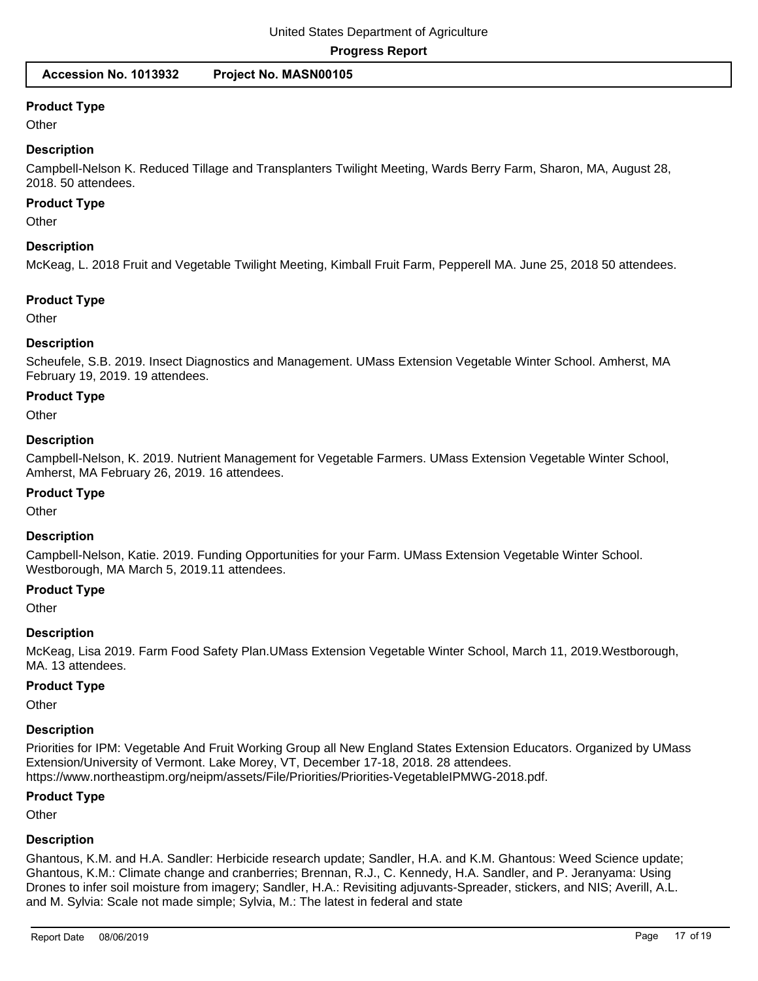# **Product Type**

**Other** 

# **Description**

Campbell-Nelson K. Reduced Tillage and Transplanters Twilight Meeting, Wards Berry Farm, Sharon, MA, August 28, 2018. 50 attendees.

# **Product Type**

**Other** 

# **Description**

McKeag, L. 2018 Fruit and Vegetable Twilight Meeting, Kimball Fruit Farm, Pepperell MA. June 25, 2018 50 attendees.

#### **Product Type**

**Other** 

# **Description**

Scheufele, S.B. 2019. Insect Diagnostics and Management. UMass Extension Vegetable Winter School. Amherst, MA February 19, 2019. 19 attendees.

# **Product Type**

**Other** 

# **Description**

Campbell-Nelson, K. 2019. Nutrient Management for Vegetable Farmers. UMass Extension Vegetable Winter School, Amherst, MA February 26, 2019. 16 attendees.

#### **Product Type**

**Other** 

#### **Description**

Campbell-Nelson, Katie. 2019. Funding Opportunities for your Farm. UMass Extension Vegetable Winter School. Westborough, MA March 5, 2019. 11 attendees.

# **Product Type**

**Other** 

#### **Description**

McKeag, Lisa 2019. Farm Food Safety Plan. UMass Extension Vegetable Winter School, March 11, 2019. Westborough, MA. 13 attendees.

#### **Product Type**

**Other** 

# **Description**

Priorities for IPM: Vegetable And Fruit Working Group all New England States Extension Educators. Organized by UMass Extension/University of Vermont. Lake Morey, VT, December 17-18, 2018. 28 attendees. https://www.northeastipm.org/neipm/assets/File/Priorities/Priorities-VegetableIPMWG-2018.pdf.

#### **Product Type**

**Other** 

#### **Description**

Ghantous, K.M. and H.A. Sandler: Herbicide research update; Sandler, H.A. and K.M. Ghantous: Weed Science update; Ghantous, K.M.: Climate change and cranberries; Brennan, R.J., C. Kennedy, H.A. Sandler, and P. Jeranyama: Using Drones to infer soil moisture from imagery; Sandler, H.A.: Revisiting adjuvants-Spreader, stickers, and NIS; Averill, A.L. and M. Sylvia: Scale not made simple; Sylvia, M.: The latest in federal and state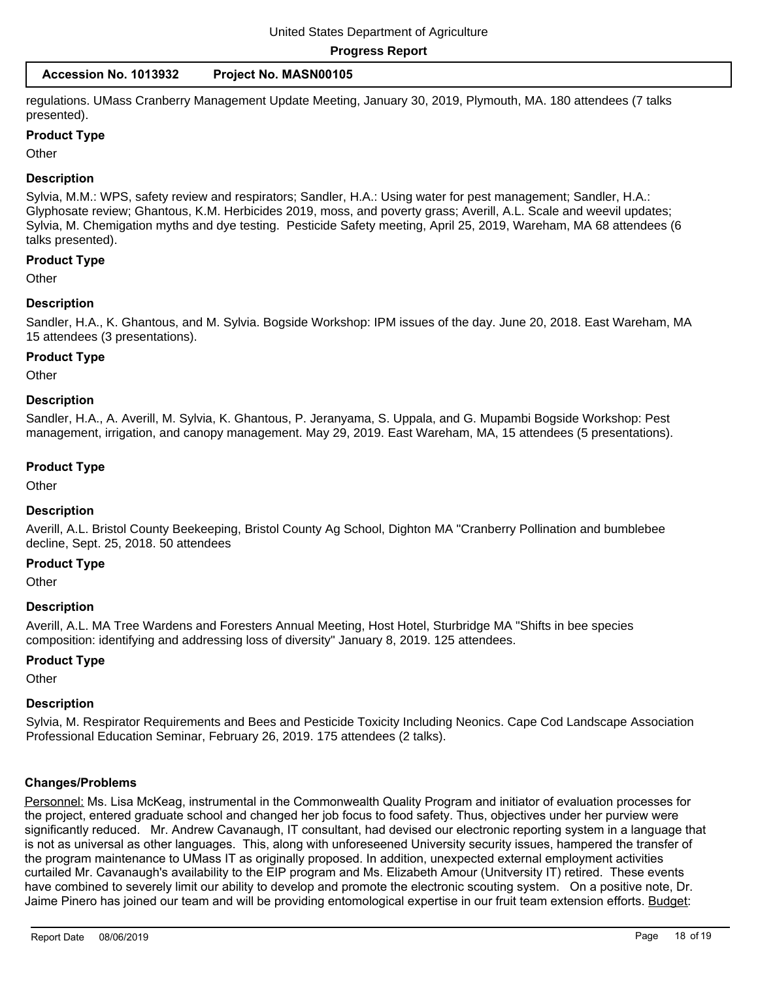| Accession No. 1013932 |  | Project No. MASN00105 |
|-----------------------|--|-----------------------|
|-----------------------|--|-----------------------|

regulations. UMass Cranberry Management Update Meeting, January 30, 2019, Plymouth, MA. 180 attendees (7 talks presented).

#### **Product Type**

**Other** 

#### **Description**

Sylvia, M.M.: WPS, safety review and respirators; Sandler, H.A.: Using water for pest management; Sandler, H.A.: Glyphosate review; Ghantous, K.M. Herbicides 2019, moss, and poverty grass; Averill, A.L. Scale and weevil updates; Sylvia, M. Chemigation myths and dye testing. Pesticide Safety meeting, April 25, 2019, Wareham, MA 68 attendees (6 talks presented).

#### **Product Type**

**Other** 

#### **Description**

Sandler, H.A., K. Ghantous, and M. Sylvia. Bogside Workshop: IPM issues of the day. June 20, 2018. East Wareham, MA 15 attendees (3 presentations).

#### **Product Type**

**Other** 

#### **Description**

Sandler, H.A., A. Averill, M. Sylvia, K. Ghantous, P. Jeranyama, S. Uppala, and G. Mupambi Bogside Workshop: Pest management, irrigation, and canopy management. May 29, 2019. East Wareham, MA, 15 attendees (5 presentations).

#### **Product Type**

**Other** 

#### **Description**

Averill, A.L. Bristol County Beekeeping, Bristol County Ag School, Dighton MA "Cranberry Pollination and bumblebee decline, Sept. 25, 2018. 50 attendees

#### **Product Type**

**Other** 

#### **Description**

Averill, A.L. MA Tree Wardens and Foresters Annual Meeting, Host Hotel, Sturbridge MA "Shifts in bee species composition: identifying and addressing loss of diversity" January 8, 2019. 125 attendees.

#### **Product Type**

**Other** 

#### **Description**

Sylvia, M. Respirator Requirements and Bees and Pesticide Toxicity Including Neonics. Cape Cod Landscape Association Professional Education Seminar, February 26, 2019. 175 attendees (2 talks).

#### **Changes/Problems**

Personnel: Ms. Lisa McKeag, instrumental in the Commonwealth Quality Program and initiator of evaluation processes for the project, entered graduate school and changed her job focus to food safety. Thus, objectives under her purview were significantly reduced. Mr. Andrew Cavanaugh, IT consultant, had devised our electronic reporting system in a language that is not as universal as other languages. This, along with unforeseened University security issues, hampered the transfer of the program maintenance to UMass IT as originally proposed. In addition, unexpected external employment activities curtailed Mr. Cavanaugh's availability to the EIP program and Ms. Elizabeth Amour (Unitversity IT) retired. These events have combined to severely limit our ability to develop and promote the electronic scouting system. On a positive note, Dr. Jaime Pinero has joined our team and will be providing entomological expertise in our fruit team extension efforts. Budget: